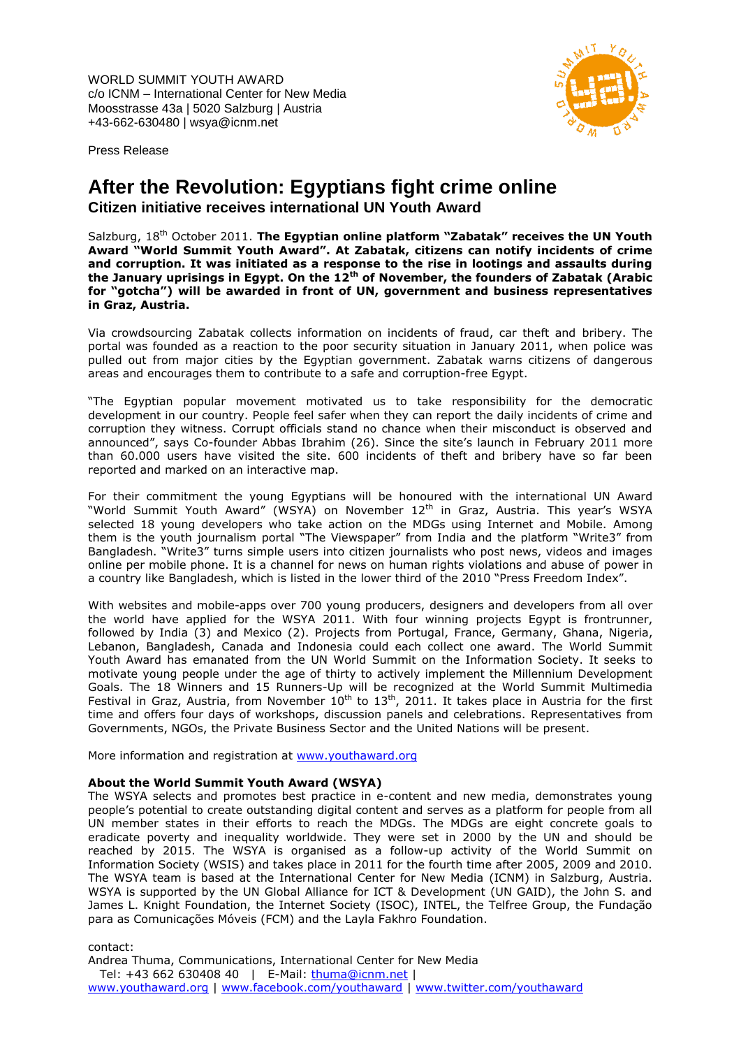WORLD SUMMIT YOUTH AWARD c/o ICNM – International Center for New Media Moosstrasse 43a | 5020 Salzburg | Austria +43-662-630480 | wsya@icnm.net



Press Release

# **After the Revolution: Egyptians fight crime online Citizen initiative receives international UN Youth Award**

Salzburg, 18th October 2011. **The Egyptian online platform "Zabatak" receives the UN Youth Award "World Summit Youth Award". At Zabatak, citizens can notify incidents of crime and corruption. It was initiated as a response to the rise in lootings and assaults during the January uprisings in Egypt. On the 12th of November, the founders of Zabatak (Arabic for "gotcha") will be awarded in front of UN, government and business representatives in Graz, Austria.**

Via crowdsourcing Zabatak collects information on incidents of fraud, car theft and bribery. The portal was founded as a reaction to the poor security situation in January 2011, when police was pulled out from major cities by the Egyptian government. Zabatak warns citizens of dangerous areas and encourages them to contribute to a safe and corruption-free Egypt.

"The Egyptian popular movement motivated us to take responsibility for the democratic development in our country. People feel safer when they can report the daily incidents of crime and corruption they witness. Corrupt officials stand no chance when their misconduct is observed and announced", says Co-founder Abbas Ibrahim (26). Since the site's launch in February 2011 more than 60.000 users have visited the site. 600 incidents of theft and bribery have so far been reported and marked on an interactive map.

For their commitment the young Egyptians will be honoured with the international UN Award "World Summit Youth Award" (WSYA) on November 12<sup>th</sup> in Graz, Austria. This year's WSYA selected 18 young developers who take action on the MDGs using Internet and Mobile. Among them is the youth journalism portal "The Viewspaper" from India and the platform "Write3" from Bangladesh. "Write3" turns simple users into citizen journalists who post news, videos and images online per mobile phone. It is a channel for news on human rights violations and abuse of power in a country like Bangladesh, which is listed in the lower third of the 2010 "Press Freedom Index".

With websites and mobile-apps over 700 young producers, designers and developers from all over the world have applied for the WSYA 2011. With four winning projects Egypt is frontrunner, followed by India (3) and Mexico (2). Projects from Portugal, France, Germany, Ghana, Nigeria, Lebanon, Bangladesh, Canada and Indonesia could each collect one award. The World Summit Youth Award has emanated from the UN World Summit on the Information Society. It seeks to motivate young people under the age of thirty to actively implement the Millennium Development Goals. The 18 Winners and 15 Runners-Up will be recognized at the World Summit Multimedia Festival in Graz, Austria, from November  $10^{th}$  to  $13^{th}$ , 2011. It takes place in Austria for the first time and offers four days of workshops, discussion panels and celebrations. Representatives from Governments, NGOs, the Private Business Sector and the United Nations will be present.

More information and registration at [www.youthaward.org](http://youthaward.formees.com/p/youthaward/1342)

#### **About the World Summit Youth Award (WSYA)**

The WSYA selects and promotes best practice in e-content and new media, demonstrates young people's potential to create outstanding digital content and serves as a platform for people from all UN member states in their efforts to reach the MDGs. The MDGs are eight concrete goals to eradicate poverty and inequality worldwide. They were set in 2000 by the UN and should be reached by 2015. The WSYA is organised as a follow-up activity of the World Summit on Information Society (WSIS) and takes place in 2011 for the fourth time after 2005, 2009 and 2010. The WSYA team is based at the International Center for New Media (ICNM) in Salzburg, Austria. WSYA is supported by the UN Global Alliance for ICT & Development (UN GAID), the John S. and James L. Knight Foundation, the Internet Society (ISOC), INTEL, the Telfree Group, the Fundação para as Comunicações Móveis (FCM) and the Layla Fakhro Foundation.

contact: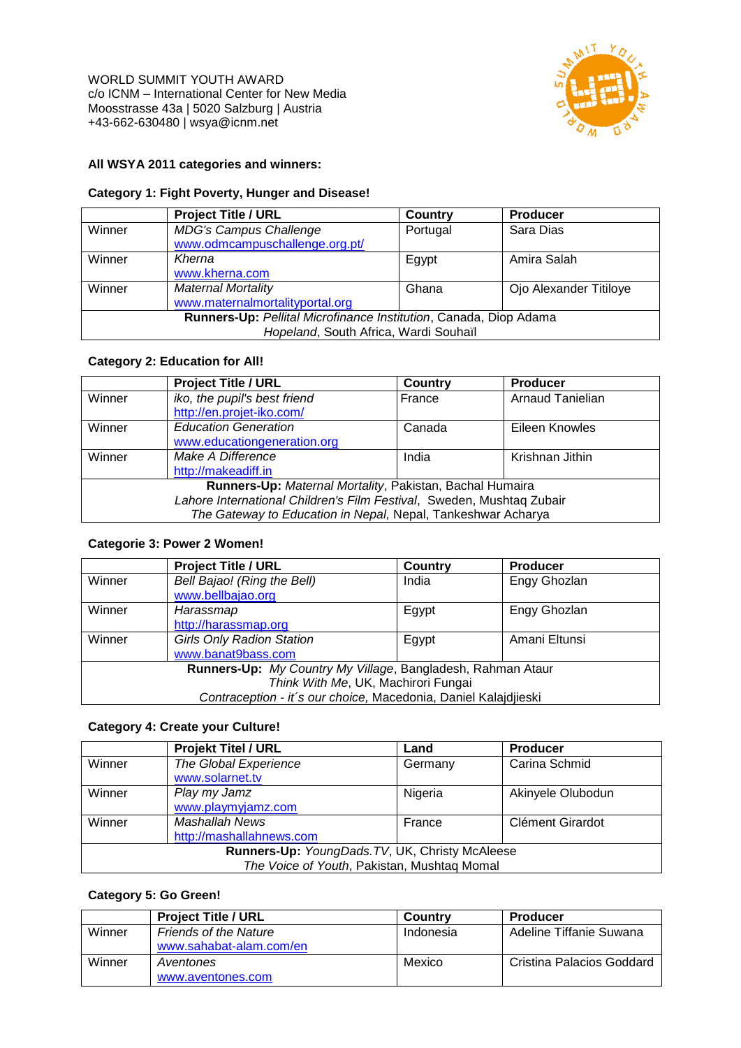

## **All WSYA 2011 categories and winners:**

#### **Category 1: Fight Poverty, Hunger and Disease!**

|                                                                   | <b>Project Title / URL</b>      | Country  | <b>Producer</b>        |
|-------------------------------------------------------------------|---------------------------------|----------|------------------------|
| Winner                                                            | <b>MDG's Campus Challenge</b>   | Portugal | Sara Dias              |
|                                                                   | www.odmcampuschallenge.org.pt/  |          |                        |
| Winner                                                            | Kherna                          | Egypt    | Amira Salah            |
|                                                                   | www.kherna.com                  |          |                        |
| Winner                                                            | <b>Maternal Mortality</b>       | Ghana    | Ojo Alexander Titiloye |
|                                                                   | www.maternalmortalityportal.org |          |                        |
| Runners-Up: Pellital Microfinance Institution, Canada, Diop Adama |                                 |          |                        |
| Hopeland, South Africa, Wardi Souhaïl                             |                                 |          |                        |

## **Category 2: Education for All!**

|                                                                       | <b>Project Title / URL</b>   | <b>Country</b> | <b>Producer</b>         |
|-----------------------------------------------------------------------|------------------------------|----------------|-------------------------|
| Winner                                                                | iko, the pupil's best friend | France         | <b>Arnaud Tanielian</b> |
|                                                                       | http://en.projet-iko.com/    |                |                         |
| Winner                                                                | <b>Education Generation</b>  | Canada         | Eileen Knowles          |
|                                                                       | www.educationgeneration.org  |                |                         |
| Winner                                                                | Make A Difference            | India          | Krishnan Jithin         |
|                                                                       | http://makeadiff.in          |                |                         |
| Runners-Up: Maternal Mortality, Pakistan, Bachal Humaira              |                              |                |                         |
| Lahore International Children's Film Festival, Sweden, Mushtaq Zubair |                              |                |                         |
| The Gateway to Education in Nepal, Nepal, Tankeshwar Acharya          |                              |                |                         |

#### **Categorie 3: Power 2 Women!**

|                                                                 | <b>Project Title / URL</b>       | Country | <b>Producer</b> |
|-----------------------------------------------------------------|----------------------------------|---------|-----------------|
| Winner                                                          | Bell Bajao! (Ring the Bell)      | India   | Engy Ghozlan    |
|                                                                 | www.bellbajao.org                |         |                 |
| Winner                                                          | Harassmap                        | Egypt   | Engy Ghozlan    |
|                                                                 | http://harassmap.org             |         |                 |
| Winner                                                          | <b>Girls Only Radion Station</b> | Egypt   | Amani Eltunsi   |
|                                                                 | www.banat9bass.com               |         |                 |
| Runners-Up: My Country My Village, Bangladesh, Rahman Ataur     |                                  |         |                 |
| Think With Me, UK, Machirori Fungai                             |                                  |         |                 |
| Contraception - it's our choice, Macedonia, Daniel Kalajdjieski |                                  |         |                 |

#### **Category 4: Create your Culture!**

|                                                 | <b>Projekt Titel / URL</b> | Land    | <b>Producer</b>   |
|-------------------------------------------------|----------------------------|---------|-------------------|
| Winner                                          | The Global Experience      | Germany | Carina Schmid     |
|                                                 | www.solarnet.tv            |         |                   |
| Winner                                          | Play my Jamz               | Nigeria | Akinyele Olubodun |
|                                                 | www.playmyjamz.com         |         |                   |
| Winner                                          | Mashallah News             | France  | Clément Girardot  |
|                                                 | http://mashallahnews.com   |         |                   |
| Runners-Up: YoungDads. TV, UK, Christy McAleese |                            |         |                   |
| The Voice of Youth, Pakistan, Mushtaq Momal     |                            |         |                   |

## **Category 5: Go Green!**

|        | <b>Project Title / URL</b>   | Country   | <b>Producer</b>           |
|--------|------------------------------|-----------|---------------------------|
| Winner | <b>Friends of the Nature</b> | Indonesia | Adeline Tiffanie Suwana   |
|        | www.sahabat-alam.com/en      |           |                           |
| Winner | Aventones                    | Mexico    | Cristina Palacios Goddard |
|        | www.aventones.com            |           |                           |